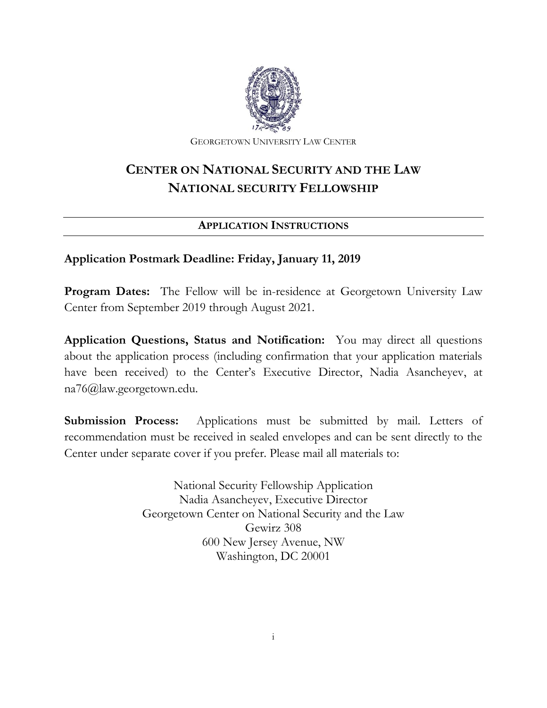

GEORGETOWN UNIVERSITY LAW CENTER

## **CENTER ON NATIONAL SECURITY AND THE LAW NATIONAL SECURITY FELLOWSHIP**

### **APPLICATION INSTRUCTIONS**

### **Application Postmark Deadline: Friday, January 11, 2019**

**Program Dates:** The Fellow will be in-residence at Georgetown University Law Center from September 2019 through August 2021.

**Application Questions, Status and Notification:** You may direct all questions about the application process (including confirmation that your application materials have been received) to the Center's Executive Director, Nadia Asancheyev, at na76@law.georgetown.edu.

**Submission Process:** Applications must be submitted by mail. Letters of recommendation must be received in sealed envelopes and can be sent directly to the Center under separate cover if you prefer. Please mail all materials to:

> National Security Fellowship Application Nadia Asancheyev, Executive Director Georgetown Center on National Security and the Law Gewirz 308 600 New Jersey Avenue, NW Washington, DC 20001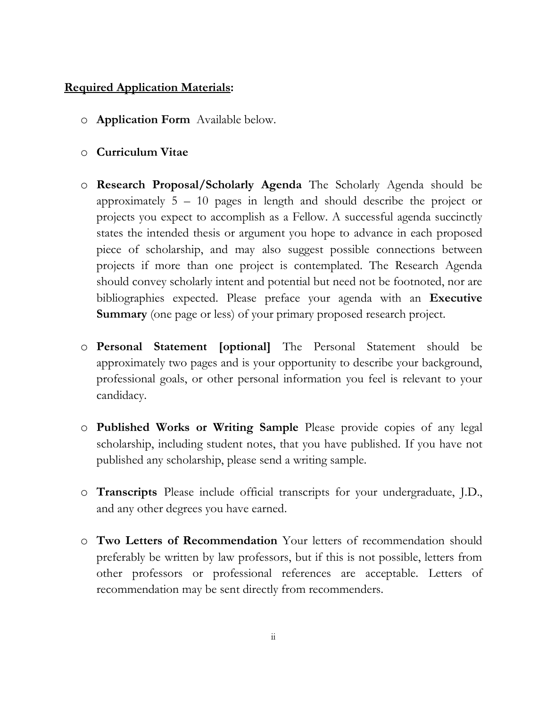#### **Required Application Materials:**

- o **Application Form** Available below.
- o **Curriculum Vitae**
- o **Research Proposal/Scholarly Agenda** The Scholarly Agenda should be approximately 5 – 10 pages in length and should describe the project or projects you expect to accomplish as a Fellow. A successful agenda succinctly states the intended thesis or argument you hope to advance in each proposed piece of scholarship, and may also suggest possible connections between projects if more than one project is contemplated. The Research Agenda should convey scholarly intent and potential but need not be footnoted, nor are bibliographies expected. Please preface your agenda with an **Executive Summary** (one page or less) of your primary proposed research project.
- o **Personal Statement [optional]** The Personal Statement should be approximately two pages and is your opportunity to describe your background, professional goals, or other personal information you feel is relevant to your candidacy.
- o **Published Works or Writing Sample** Please provide copies of any legal scholarship, including student notes, that you have published. If you have not published any scholarship, please send a writing sample.
- o **Transcripts** Please include official transcripts for your undergraduate, J.D., and any other degrees you have earned.
- o **Two Letters of Recommendation** Your letters of recommendation should preferably be written by law professors, but if this is not possible, letters from other professors or professional references are acceptable. Letters of recommendation may be sent directly from recommenders.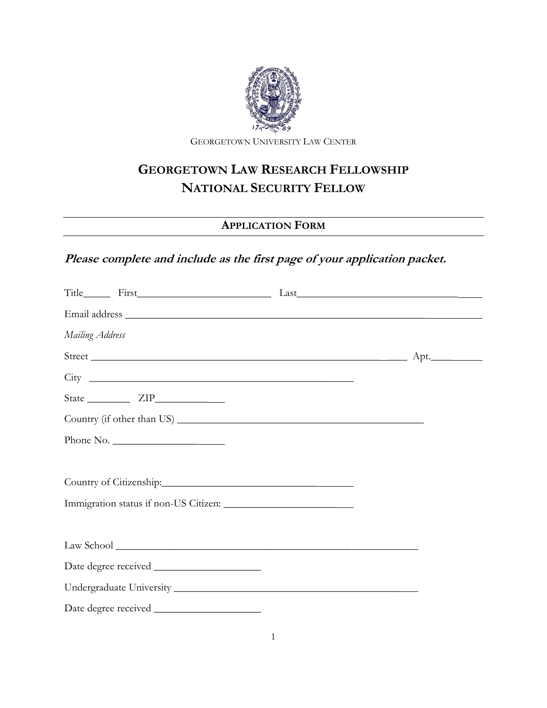

GEORGETOWN UNIVERSITY LAW CENTER

# **GEORGETOWN LAW RESEARCH FELLOWSHIP NATIONAL SECURITY FELLOW**

### **APPLICATION FORM**

### **Please complete and include as the first page of your application packet.**

| Mailing Address         |  |
|-------------------------|--|
|                         |  |
|                         |  |
|                         |  |
|                         |  |
| Phone No.               |  |
|                         |  |
| Country of Citizenship: |  |
|                         |  |
|                         |  |
|                         |  |
|                         |  |
|                         |  |
|                         |  |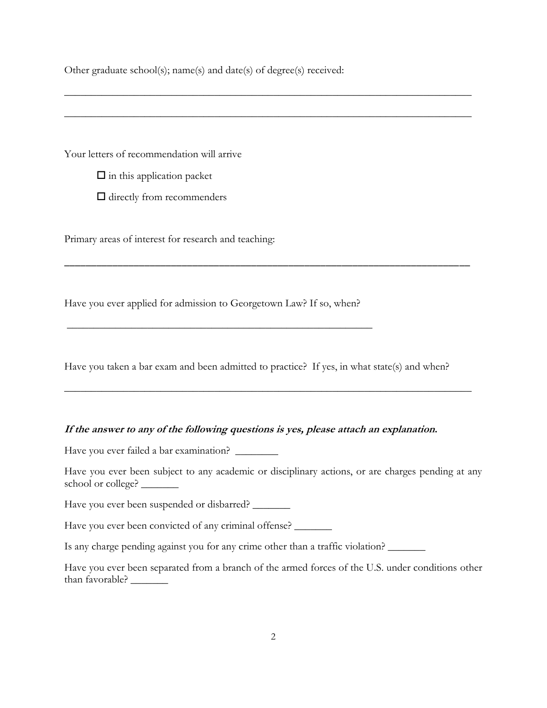Other graduate school(s); name(s) and date(s) of degree(s) received:

Your letters of recommendation will arrive

 $\square$  in this application packet

 $\Box$  directly from recommenders

Primary areas of interest for research and teaching:

Have you ever applied for admission to Georgetown Law? If so, when?

\_\_\_\_\_\_\_\_\_\_\_\_\_\_\_\_\_\_\_\_\_\_\_\_\_\_\_\_\_\_\_\_\_\_\_\_\_\_\_\_\_\_\_\_\_\_\_\_\_\_\_\_\_\_\_\_\_

Have you taken a bar exam and been admitted to practice? If yes, in what state(s) and when?

\_\_\_\_\_\_\_\_\_\_\_\_\_\_\_\_\_\_\_\_\_\_\_\_\_\_\_\_\_\_\_\_\_\_\_\_\_\_\_\_\_\_\_\_\_\_\_\_\_\_\_\_\_\_\_\_\_\_\_\_\_\_\_\_\_\_\_\_\_\_\_\_\_\_\_\_

\_\_\_\_\_\_\_\_\_\_\_\_\_\_\_\_\_\_\_\_\_\_\_\_\_\_\_\_\_\_\_\_\_\_\_\_\_\_\_\_\_\_\_\_\_\_\_\_\_\_\_\_\_\_\_\_\_\_\_\_\_\_\_\_\_\_\_\_\_\_\_\_\_\_\_\_

\_\_\_\_\_\_\_\_\_\_\_\_\_\_\_\_\_\_\_\_\_\_\_\_\_\_\_\_\_\_\_\_\_\_\_\_\_\_\_\_\_\_\_\_\_\_\_\_\_\_\_\_\_\_\_\_\_\_\_\_\_\_\_\_\_\_\_\_\_\_\_\_\_\_\_\_

\_\_\_\_\_\_\_\_\_\_\_\_\_\_\_\_\_\_\_\_\_\_\_\_\_\_\_\_\_\_\_\_\_\_\_\_\_\_\_\_\_\_\_\_\_\_\_\_\_\_\_\_\_\_\_\_\_\_\_\_\_\_\_\_\_\_\_\_\_\_\_\_\_\_\_\_

#### **If the answer to any of the following questions is yes, please attach an explanation.**

Have you ever failed a bar examination? \_\_\_\_\_\_\_\_

Have you ever been subject to any academic or disciplinary actions, or are charges pending at any school or college?

Have you ever been suspended or disbarred?

Have you ever been convicted of any criminal offense? \_\_\_\_\_\_\_

Is any charge pending against you for any crime other than a traffic violation?

Have you ever been separated from a branch of the armed forces of the U.S. under conditions other than favorable? \_\_\_\_\_\_\_